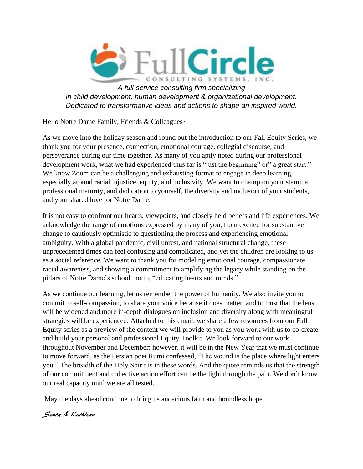

*A full-service consulting firm specializing in child development, human development & organizational development. Dedicated to transformative ideas and actions to shape an inspired world.*

Hello Notre Dame Family, Friends & Colleagues~

As we move into the holiday season and round out the introduction to our Fall Equity Series, we thank you for your presence, connection, emotional courage, collegial discourse, and perseverance during our time together. As many of you aptly noted during our professional development work, what we had experienced thus far is "just the beginning" or" a great start." We know Zoom can be a challenging and exhausting format to engage in deep learning, especially around racial injustice, equity, and inclusivity. We want to champion your stamina, professional maturity, and dedication to yourself, the diversity and inclusion of your students, and your shared love for Notre Dame.

It is not easy to confront our hearts, viewpoints, and closely held beliefs and life experiences. We acknowledge the range of emotions expressed by many of you, from excited for substantive change to cautiously optimistic to questioning the process and experiencing emotional ambiguity. With a global pandemic, civil unrest, and national structural change, these unprecedented times can feel confusing and complicated, and yet the children are looking to us as a social reference. We want to thank you for modeling emotional courage, compassionate racial awareness, and showing a commitment to amplifying the legacy while standing on the pillars of Notre Dame's school motto, "educating hearts and minds."

As we continue our learning, let us remember the power of humanity. We also invite you to commit to self-compassion, to share your voice because it does matter, and to trust that the lens will be widened and more in-depth dialogues on inclusion and diversity along with meaningful strategies will be experienced. Attached to this email, we share a few resources from our Fall Equity series as a preview of the content we will provide to you as you work with us to co-create and build your personal and professional Equity Toolkit. We look forward to our work throughout November and December; however, it will be in the New Year that we must continue to move forward, as the Persian poet Rumi confessed, "The wound is the place where light enters you." The breadth of the Holy Spirit is in these words. And the quote reminds us that the strength of our commitment and collective action effort can be the light through the pain. We don't know our real capacity until we are all tested.

May the days ahead continue to bring us audacious faith and boundless hope.

Senta & Kathleen